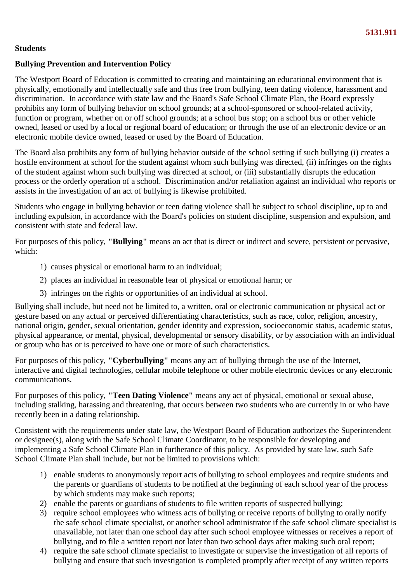## **Students**

## **Bullying Prevention and Intervention Policy**

The Westport Board of Education is committed to creating and maintaining an educational environment that is physically, emotionally and intellectually safe and thus free from bullying, teen dating violence, harassment and discrimination. In accordance with state law and the Board's Safe School Climate Plan, the Board expressly prohibits any form of bullying behavior on school grounds; at a school-sponsored or school-related activity, function or program, whether on or off school grounds; at a school bus stop; on a school bus or other vehicle owned, leased or used by a local or regional board of education; or through the use of an electronic device or an electronic mobile device owned, leased or used by the Board of Education.

The Board also prohibits any form of bullying behavior outside of the school setting if such bullying (i) creates a hostile environment at school for the student against whom such bullying was directed, (ii) infringes on the rights of the student against whom such bullying was directed at school, or (iii) substantially disrupts the education process or the orderly operation of a school. Discrimination and/or retaliation against an individual who reports or assists in the investigation of an act of bullying is likewise prohibited.

Students who engage in bullying behavior or teen dating violence shall be subject to school discipline, up to and including expulsion, in accordance with the Board's policies on student discipline, suspension and expulsion, and consistent with state and federal law.

For purposes of this policy, **"Bullying"** means an act that is direct or indirect and severe, persistent or pervasive, which:

- 1) causes physical or emotional harm to an individual;
- 2) places an individual in reasonable fear of physical or emotional harm; or
- 3) infringes on the rights or opportunities of an individual at school.

Bullying shall include, but need not be limited to, a written, oral or electronic communication or physical act or gesture based on any actual or perceived differentiating characteristics, such as race, color, religion, ancestry, national origin, gender, sexual orientation, gender identity and expression, socioeconomic status, academic status, physical appearance, or mental, physical, developmental or sensory disability, or by association with an individual or group who has or is perceived to have one or more of such characteristics.

For purposes of this policy, **"Cyberbullying"** means any act of bullying through the use of the Internet, interactive and digital technologies, cellular mobile telephone or other mobile electronic devices or any electronic communications.

For purposes of this policy, **"Teen Dating Violence"** means any act of physical, emotional or sexual abuse, including stalking, harassing and threatening, that occurs between two students who are currently in or who have recently been in a dating relationship.

Consistent with the requirements under state law, the Westport Board of Education authorizes the Superintendent or designee(s), along with the Safe School Climate Coordinator, to be responsible for developing and implementing a Safe School Climate Plan in furtherance of this policy. As provided by state law, such Safe School Climate Plan shall include, but not be limited to provisions which:

- 1) enable students to anonymously report acts of bullying to school employees and require students and the parents or guardians of students to be notified at the beginning of each school year of the process by which students may make such reports;
- 2) enable the parents or guardians of students to file written reports of suspected bullying;
- 3) require school employees who witness acts of bullying or receive reports of bullying to orally notify the safe school climate specialist, or another school administrator if the safe school climate specialist is unavailable, not later than one school day after such school employee witnesses or receives a report of bullying, and to file a written report not later than two school days after making such oral report;
- 4) require the safe school climate specialist to investigate or supervise the investigation of all reports of bullying and ensure that such investigation is completed promptly after receipt of any written reports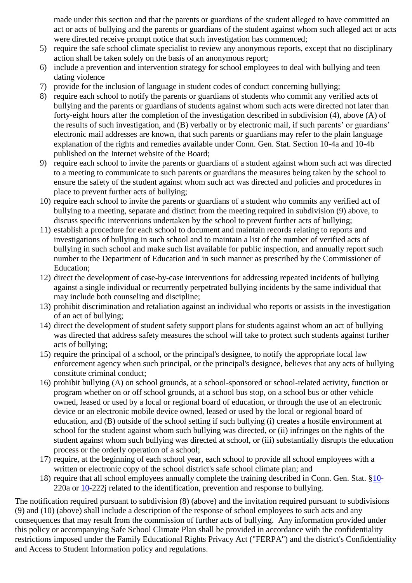made under this section and that the parents or guardians of the student alleged to have committed an act or acts of bullying and the parents or guardians of the student against whom such alleged act or acts were directed receive prompt notice that such investigation has commenced;

- 5) require the safe school climate specialist to review any anonymous reports, except that no disciplinary action shall be taken solely on the basis of an anonymous report;
- 6) include a prevention and intervention strategy for school employees to deal with bullying and teen dating violence
- 7) provide for the inclusion of language in student codes of conduct concerning bullying;
- 8) require each school to notify the parents or guardians of students who commit any verified acts of bullying and the parents or guardians of students against whom such acts were directed not later than forty-eight hours after the completion of the investigation described in subdivision (4), above (A) of the results of such investigation, and (B) verbally or by electronic mail, if such parents' or guardians' electronic mail addresses are known, that such parents or guardians may refer to the plain language explanation of the rights and remedies available under Conn. Gen. Stat. Section 10-4a and 10-4b published on the Internet website of the Board;
- 9) require each school to invite the parents or guardians of a student against whom such act was directed to a meeting to communicate to such parents or guardians the measures being taken by the school to ensure the safety of the student against whom such act was directed and policies and procedures in place to prevent further acts of bullying;
- 10) require each school to invite the parents or guardians of a student who commits any verified act of bullying to a meeting, separate and distinct from the meeting required in subdivision (9) above, to discuss specific interventions undertaken by the school to prevent further acts of bullying;
- 11) establish a procedure for each school to document and maintain records relating to reports and investigations of bullying in such school and to maintain a list of the number of verified acts of bullying in such school and make such list available for public inspection, and annually report such number to the Department of Education and in such manner as prescribed by the Commissioner of Education;
- 12) direct the development of case-by-case interventions for addressing repeated incidents of bullying against a single individual or recurrently perpetrated bullying incidents by the same individual that may include both counseling and discipline;
- 13) prohibit discrimination and retaliation against an individual who reports or assists in the investigation of an act of bullying;
- 14) direct the development of student safety support plans for students against whom an act of bullying was directed that address safety measures the school will take to protect such students against further acts of bullying;
- 15) require the principal of a school, or the principal's designee, to notify the appropriate local law enforcement agency when such principal, or the principal's designee, believes that any acts of bullying constitute criminal conduct;
- 16) prohibit bullying (A) on school grounds, at a school-sponsored or school-related activity, function or program whether on or off school grounds, at a school bus stop, on a school bus or other vehicle owned, leased or used by a local or regional board of education, or through the use of an electronic device or an electronic mobile device owned, leased or used by the local or regional board of education, and (B) outside of the school setting if such bullying (i) creates a hostile environment at school for the student against whom such bullying was directed, or (ii) infringes on the rights of the student against whom such bullying was directed at school, or (iii) substantially disrupts the education process or the orderly operation of a school;
- 17) require, at the beginning of each school year, each school to provide all school employees with a written or electronic copy of the school district's safe school climate plan; and
- 18) require that all school employees annually complete the training described in Conn. Gen. Stat. §10- 220a or 10-222j related to the identification, prevention and response to bullying.

The notification required pursuant to subdivision (8) (above) and the invitation required pursuant to subdivisions (9) and (10) (above) shall include a description of the response of school employees to such acts and any consequences that may result from the commission of further acts of bullying. Any information provided under this policy or accompanying Safe School Climate Plan shall be provided in accordance with the confidentiality restrictions imposed under the Family Educational Rights Privacy Act ("FERPA") and the district's Confidentiality and Access to Student Information policy and regulations.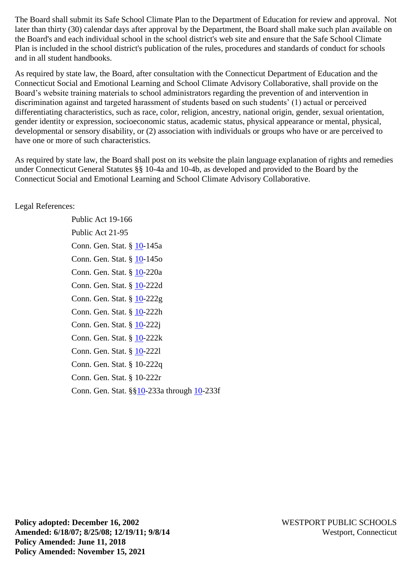The Board shall submit its Safe School Climate Plan to the Department of Education for review and approval. Not later than thirty (30) calendar days after approval by the Department, the Board shall make such plan available on the Board's and each individual school in the school district's web site and ensure that the Safe School Climate Plan is included in the school district's publication of the rules, procedures and standards of conduct for schools and in all student handbooks.

As required by state law, the Board, after consultation with the Connecticut Department of Education and the Connecticut Social and Emotional Learning and School Climate Advisory Collaborative, shall provide on the Board's website training materials to school administrators regarding the prevention of and intervention in discrimination against and targeted harassment of students based on such students' (1) actual or perceived differentiating characteristics, such as race, color, religion, ancestry, national origin, gender, sexual orientation, gender identity or expression, socioeconomic status, academic status, physical appearance or mental, physical, developmental or sensory disability, or (2) association with individuals or groups who have or are perceived to have one or more of such characteristics.

As required by state law, the Board shall post on its website the plain language explanation of rights and remedies under Connecticut General Statutes §§ 10-4a and 10-4b, as developed and provided to the Board by the Connecticut Social and Emotional Learning and School Climate Advisory Collaborative.

### Legal References:

Public Act 19-166 Public Act 21-95 Conn. Gen. Stat. § 10-145a Conn. Gen. Stat. § 10-145o Conn. Gen. Stat. § 10-220a Conn. Gen. Stat. § 10-222d Conn. Gen. Stat. § 10-222g Conn. Gen. Stat. § 10-222h Conn. Gen. Stat. § 10-222j Conn. Gen. Stat. § 10-222k Conn. Gen. Stat. § 10-222l Conn. Gen. Stat. § 10-222q Conn. Gen. Stat. § 10-222r Conn. Gen. Stat. §§10-233a through 10-233f

**Policy adopted: December 16, 2002** WESTPORT PUBLIC SCHOOLS **Amended: 6/18/07; 8/25/08; 12/19/11; 9/8/14** Westport, Connecticut **Policy Amended: June 11, 2018 Policy Amended: November 15, 2021**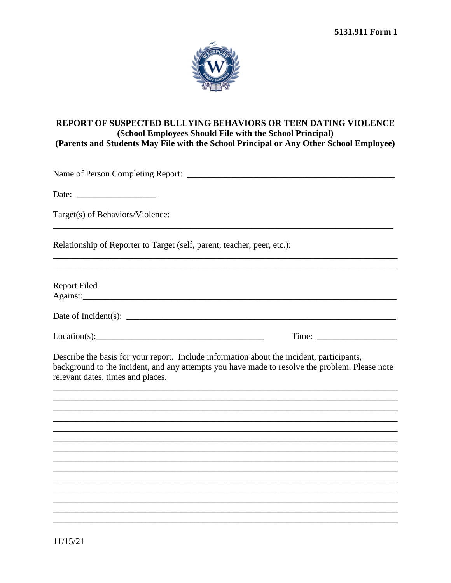

### REPORT OF SUSPECTED BULLYING BEHAVIORS OR TEEN DATING VIOLENCE (School Employees Should File with the School Principal) (Parents and Students May File with the School Principal or Any Other School Employee)

Target(s) of Behaviors/Violence:

Relationship of Reporter to Target (self, parent, teacher, peer, etc.):

**Report Filed** Against:

Date of Incident(s):

 $Location(s):$  Time:

Describe the basis for your report. Include information about the incident, participants, background to the incident, and any attempts you have made to resolve the problem. Please note relevant dates, times and places.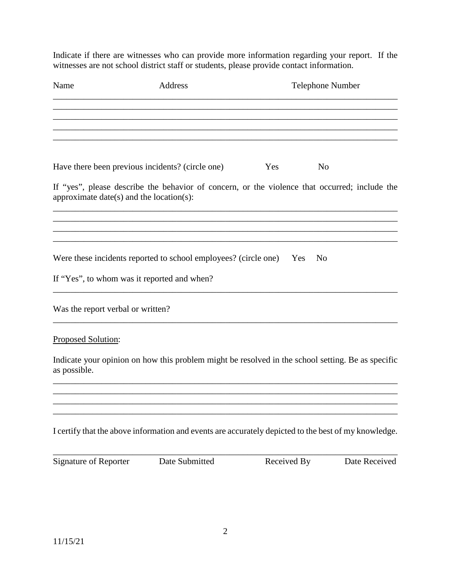Indicate if there are witnesses who can provide more information regarding your report. If the witnesses are not school district staff or students, please provide contact information.

| Name                                     | Address                                                                                              |             | Telephone Number |
|------------------------------------------|------------------------------------------------------------------------------------------------------|-------------|------------------|
|                                          |                                                                                                      |             |                  |
|                                          | Have there been previous incidents? (circle one)                                                     | Yes         | No               |
| approximate date(s) and the location(s): | If "yes", please describe the behavior of concern, or the violence that occurred; include the        |             |                  |
|                                          |                                                                                                      |             |                  |
|                                          | Were these incidents reported to school employees? (circle one) Yes                                  |             | N <sub>o</sub>   |
|                                          | If "Yes", to whom was it reported and when?                                                          |             |                  |
| Was the report verbal or written?        |                                                                                                      |             |                  |
| Proposed Solution:                       |                                                                                                      |             |                  |
| as possible.                             | Indicate your opinion on how this problem might be resolved in the school setting. Be as specific    |             |                  |
|                                          |                                                                                                      |             |                  |
|                                          | I certify that the above information and events are accurately depicted to the best of my knowledge. |             |                  |
| <b>Signature of Reporter</b>             | Date Submitted                                                                                       | Received By | Date Received    |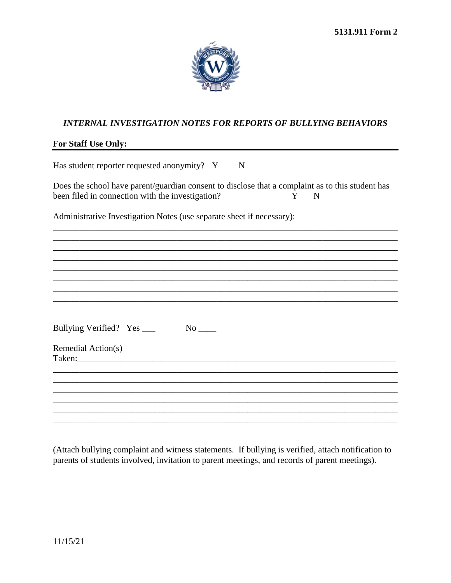

# **INTERNAL INVESTIGATION NOTES FOR REPORTS OF BULLYING BEHAVIORS**

### For Staff Use Only:

| Has student reporter requested anonymity? Y<br>$\mathbf N$                                                                                                     |
|----------------------------------------------------------------------------------------------------------------------------------------------------------------|
| Does the school have parent/guardian consent to disclose that a complaint as to this student has<br>been filed in connection with the investigation?<br>Y<br>N |
| Administrative Investigation Notes (use separate sheet if necessary):                                                                                          |
|                                                                                                                                                                |
|                                                                                                                                                                |
|                                                                                                                                                                |
| Bullying Verified? Yes ____<br>$No$ <sub>____</sub>                                                                                                            |
| Remedial Action(s)                                                                                                                                             |
|                                                                                                                                                                |
|                                                                                                                                                                |
|                                                                                                                                                                |

(Attach bullying complaint and witness statements. If bullying is verified, attach notification to parents of students involved, invitation to parent meetings, and records of parent meetings).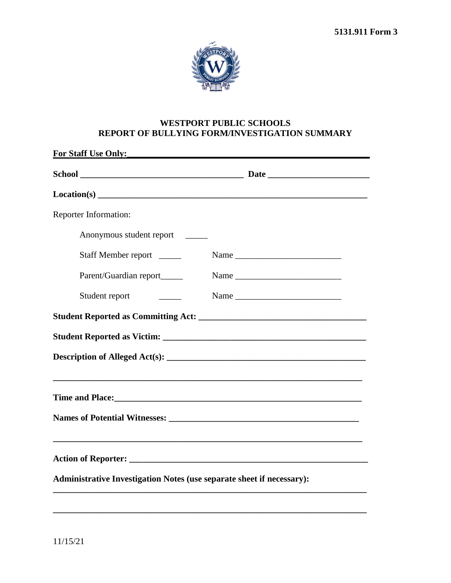

# **WESTPORT PUBLIC SCHOOLS REPORT OF BULLYING FORM/INVESTIGATION SUMMARY**

| For Staff Use Only:                                                          |  |
|------------------------------------------------------------------------------|--|
|                                                                              |  |
|                                                                              |  |
| Reporter Information:                                                        |  |
| Anonymous student report                                                     |  |
| Staff Member report                                                          |  |
| Parent/Guardian report_____                                                  |  |
| Student report                                                               |  |
|                                                                              |  |
|                                                                              |  |
|                                                                              |  |
|                                                                              |  |
|                                                                              |  |
|                                                                              |  |
| <b>Administrative Investigation Notes (use separate sheet if necessary):</b> |  |
|                                                                              |  |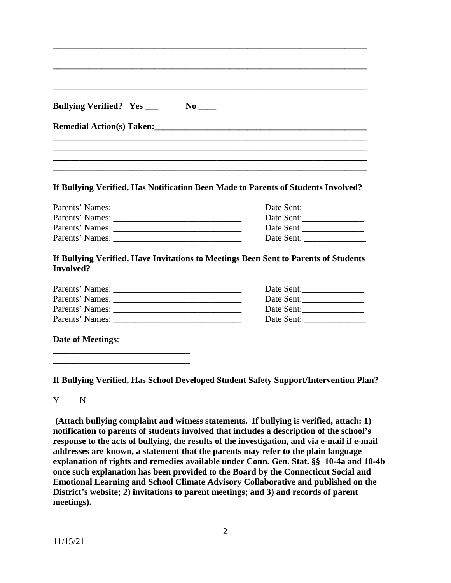#### **If Bullying Verified, Has Notification Been Made to Parents of Students Involved?**

| Parents' Names: | Date Sent: |
|-----------------|------------|
| Parents' Names: | Date Sent: |
| Parents' Names: | Date Sent: |
| Parents' Names: | Date Sent: |

### **If Bullying Verified, Have Invitations to Meetings Been Sent to Parents of Students Involved?**

| Parents' Names: | Date Sent: |
|-----------------|------------|
| Parents' Names: | Date Sent: |
| Parents' Names: | Date Sent: |
| Parents' Names: | Date Sent: |

### **Date of Meetings**:

\_\_\_\_\_\_\_\_\_\_\_\_\_\_\_\_\_\_\_\_\_\_\_\_\_\_\_\_\_\_\_ \_\_\_\_\_\_\_\_\_\_\_\_\_\_\_\_\_\_\_\_\_\_\_\_\_\_\_\_\_\_\_

**If Bullying Verified, Has School Developed Student Safety Support/Intervention Plan?**

Y N

**(Attach bullying complaint and witness statements. If bullying is verified, attach: 1) notification to parents of students involved that includes a description of the school's response to the acts of bullying, the results of the investigation, and via e-mail if e-mail addresses are known, a statement that the parents may refer to the plain language explanation of rights and remedies available under Conn. Gen. Stat. §§ 10-4a and 10-4b once such explanation has been provided to the Board by the Connecticut Social and Emotional Learning and School Climate Advisory Collaborative and published on the District's website; 2) invitations to parent meetings; and 3) and records of parent meetings).**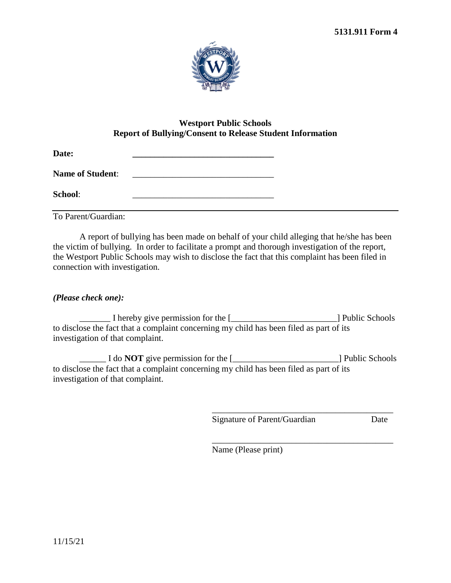

# **Westport Public Schools Report of Bullying/Consent to Release Student Information**

| Date:                   |  |
|-------------------------|--|
| <b>Name of Student:</b> |  |
| School:                 |  |

To Parent/Guardian:

A report of bullying has been made on behalf of your child alleging that he/she has been the victim of bullying. In order to facilitate a prompt and thorough investigation of the report, the Westport Public Schools may wish to disclose the fact that this complaint has been filed in connection with investigation.

# *(Please check one):*

\_\_\_\_\_\_\_ I hereby give permission for the [\_\_\_\_\_\_\_\_\_\_\_\_\_\_\_\_\_\_\_\_\_\_\_\_] Public Schools to disclose the fact that a complaint concerning my child has been filed as part of its investigation of that complaint.

\_\_\_\_\_\_ I do **NOT** give permission for the [\_\_\_\_\_\_\_\_\_\_\_\_\_\_\_\_\_\_\_\_\_\_\_\_] Public Schools to disclose the fact that a complaint concerning my child has been filed as part of its investigation of that complaint.

Signature of Parent/Guardian Date

\_\_\_\_\_\_\_\_\_\_\_\_\_\_\_\_\_\_\_\_\_\_\_\_\_\_\_\_\_\_\_\_\_\_\_\_\_\_\_\_\_

\_\_\_\_\_\_\_\_\_\_\_\_\_\_\_\_\_\_\_\_\_\_\_\_\_\_\_\_\_\_\_\_\_\_\_\_\_\_\_\_\_ Name (Please print)